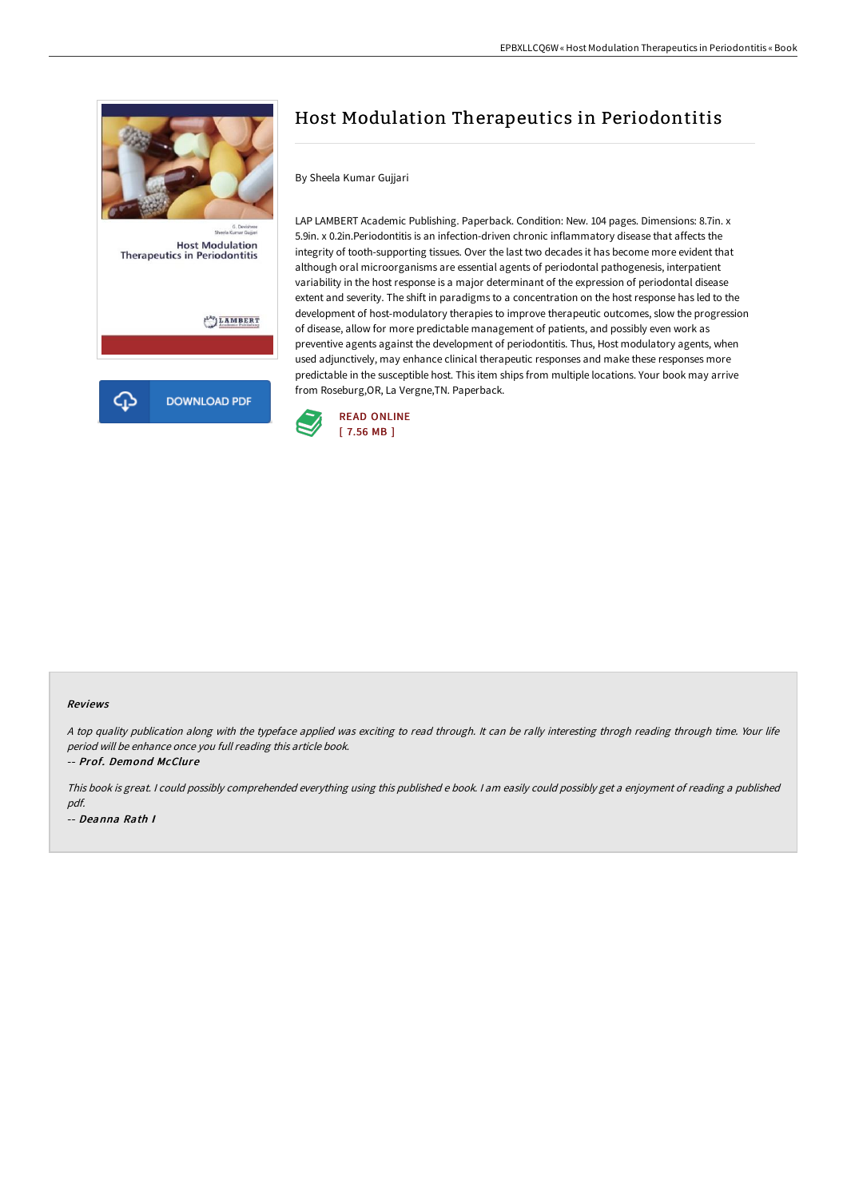

## Host Modulation Therapeutics in Periodontitis

By Sheela Kumar Gujjari

LAP LAMBERT Academic Publishing. Paperback. Condition: New. 104 pages. Dimensions: 8.7in. x 5.9in. x 0.2in.Periodontitis is an infection-driven chronic inflammatory disease that affects the integrity of tooth-supporting tissues. Over the last two decades it has become more evident that although oral microorganisms are essential agents of periodontal pathogenesis, interpatient variability in the host response is a major determinant of the expression of periodontal disease extent and severity. The shift in paradigms to a concentration on the host response has led to the development of host-modulatory therapies to improve therapeutic outcomes, slow the progression of disease, allow for more predictable management of patients, and possibly even work as preventive agents against the development of periodontitis. Thus, Host modulatory agents, when used adjunctively, may enhance clinical therapeutic responses and make these responses more predictable in the susceptible host. This item ships from multiple locations. Your book may arrive from Roseburg,OR, La Vergne,TN. Paperback.



## Reviews

<sup>A</sup> top quality publication along with the typeface applied was exciting to read through. It can be rally interesting throgh reading through time. Your life period will be enhance once you full reading this article book.

-- Prof. Demond McClure

This book is great. <sup>I</sup> could possibly comprehended everything using this published <sup>e</sup> book. <sup>I</sup> am easily could possibly get <sup>a</sup> enjoyment of reading <sup>a</sup> published pdf. -- Deanna Rath I